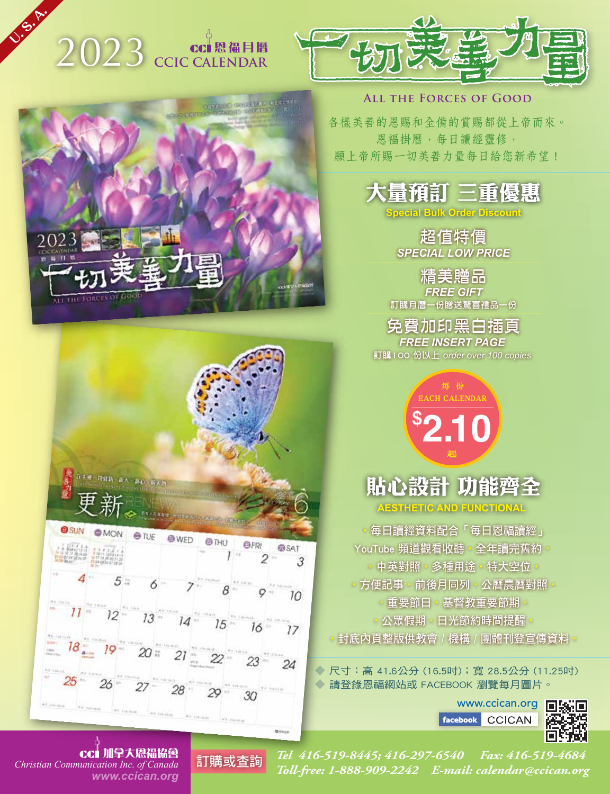# 2023 **CCIC CALENDAR**

OUTLED OF LEAD

**U. S. A.**



#### **All the Forces of Good**

各樣美善的恩賜和全備的賞賜都從上帝而來。 恩福掛曆,每日讀經靈修, 願上帝所賜一切美善力量每日給您新希望!



**Special Bulk Order Discount**

超值特價 *SPECIAL LOW PRICE*

精美贈品 *FREE GIFT* 訂購月曆一份贈送驚喜禮品一份

免費加印黑白插頁 *FREE INSERT PAGE*  訂購100 份以上 *order over 100 copies*

> **\$ 2.10** 每 份 CH CALENDAR 起

### 貼心設計 功能齊 **AESTHETIC AND FUNCTIONAL**

‧每日讀經資料配合「每日恩福讀經」 YouTube 頻道觀看收聽 · 全年讀完舊約 中英對照 · 多種用途 · 特大空位 □方便記事‧前後月同列‧公曆農曆對照 ●重要節日●基督教重要節期 ‧公眾假期‧日光節約時間提醒‧ ●封底內頁整版供教會 / 機構 / 團體刊登宣傳資料 •

◆ 尺寸:高 41.6公分 (16.5吋);寬 28.5公分 (11.25吋) ◆ 請登錄恩福網站或 FACEBOOK 瀏覽每月圖片。

> www.ccican.org **facebook CCICAN**





在王祥一切转路,新人、新心、新人。



*www.ccican.org* 加拿大恩福協會

*Tel 416-519-8445; 416-297-6540 Fax: 416-519-4684 Toll-free: 1-888-909-2242 E-mail: calendar@ccican.org Christian Communication Inc. of Canada* 訂購或查詢